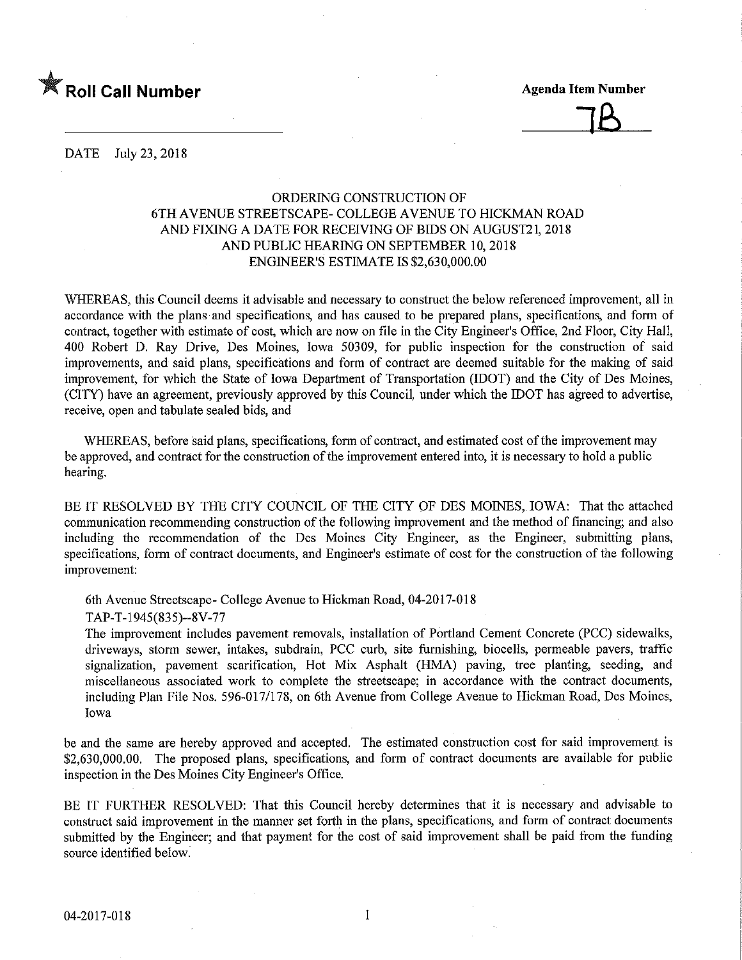

J£^

DATE July 23, 2018

# ORDERING CONSTRUCTION OF 6TH AVENUE STREETSCAPE- COLLEGE AVENUE TO fflCKMAN ROAD AND FIXING A DATE FOR RECEIVING OF BIDS ON AUGUST21, 2018 AND PUBLIC HEARING ON SEPTEMBER 10,2018 ENGINEER'S ESTIMATE IS \$2,630,000.00

WHEREAS, this Council deems it advisable and necessary to construct the below referenced improvement, all in accordance with the plans and specifications, and has caused to be prepared plans, specifications, and form of contract, together with estimate of cost, which are now on file in the City Engmeer's Office, 2nd Floor, City Hall, 400 Robert D. Ray Drive, Des Moines, Iowa 50309, for public inspection for the construction of said improvements, and said plans, specifications and form of contract are deemed suitable for the making of said improvement, for which the State of Iowa Department of Transportation (IDOT) and the City of Des Moines, (CITY) have an agreement, previously approved by this Council, under which the IDOT has agreed to advertise, receive, open and tabulate sealed bids, and

WHEREAS, before said plans, specifications, fonn of contract, and estimated cost of the improvement may be approved, and contract for the construction of the improvement entered into, it is necessary to hold a public hearing.

BE IT RESOLVED BY THE CITY COUNCIL OF THE CITY OF DES MOINES, IOWA: That the attached communication recommending construction of the following improvement and the method of financing; and also including the recommendation of the Des Moines City Engineer, as the Engineer, submitting plans, specifications, form of contract documents, and Engineer's estimate of cost for the construction of the following improvement:

6th Avenue Streetscape- College Avenue to Hickman Road, 04-2017-018

TAP-T-1945(835)-8V-77

The improvement includes pavement removals, installation of Portland Cement Concrete (PCC) sidewalks, driveways, storm sewer, intakes, subdrain, PCC curb, site furnishing, biocells, permeable pavers, traffic signalization, pavement scarification. Hot Mix Asphalt (HMA) paving, tree planting, seeding, and miscellaneous associated work to complete the streetscape; in accordance with the contract documents, including Plan File Nos. 596-017/178, on 6th Avenue from College Avenue to Hickman Road, Des Moines, Iowa

be and the same are hereby approved and accepted. The estimated construction cost for said improvement is \$2,630,000.00. The proposed plans, specifications, and form of contract documents are available for public inspection in the Des Moines City Engineer's Office.

BE IT FURTHER RESOLVED: That this Council hereby determines that it is necessary and advisable to construct said improvement in the manner set forth in the plans, specifications, and form of contract documents submitted by the Engineer; and that payment for the cost of said improvement shall be paid from the funding source identified below.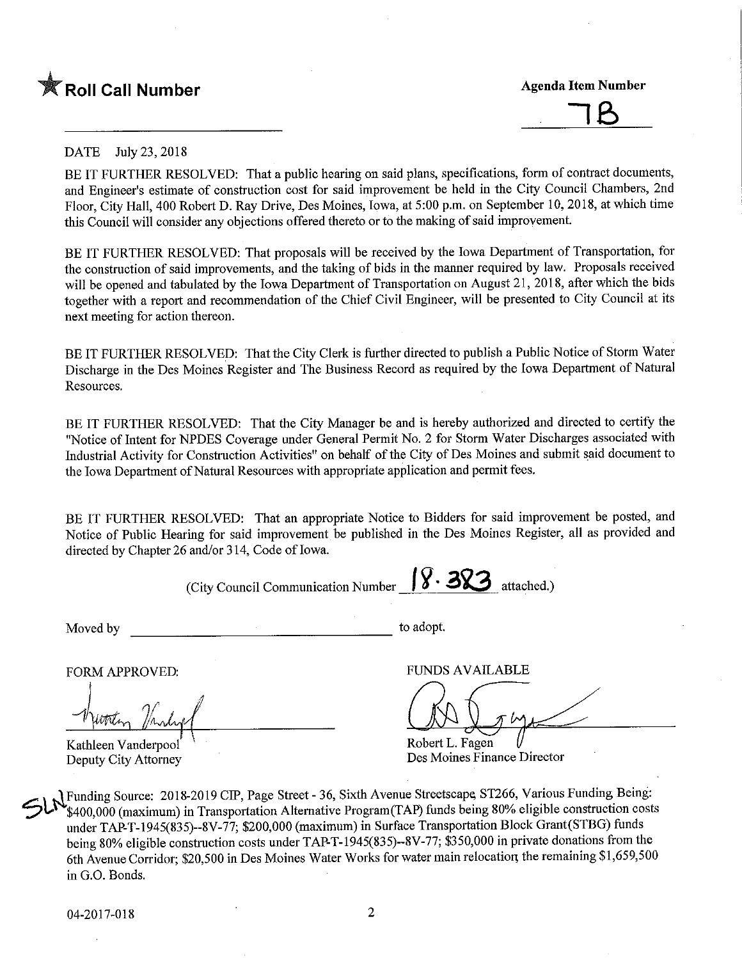



## DATE July 23, 2018

BE IT FURTHER RESOLVED: That a public hearing on said plans, specifications, form of contract documents, and Engineer's estimate of construction cost for said improvement be held in the City Council Chambers, 2nd Floor, City Hall, 400 Robert D. Ray Drive, Des Moines, Iowa, at 5:00 p.m. on September 10, 2018, at which time this Council will consider any objections offered thereto or to the making of said improvement

BE IT FURTHER RESOLVED; That proposals will be received by the Iowa Department of Transportation, for the construction of said improvements, and the taking of bids in the manner required by law. Proposals received will be opened and tabulated by the Iowa Department of Transportation on August 21, 2018, after which the bids together with a report and recommendation of the Chief Civil Engineer, will be presented to City Council at its next meeting for action thereon.

BE IT FURTHER RESOLVED; That the City Clerk is further directed to publish a Public Notice of Storm Water Discharge in the Des Moines Register and The Business Record as required by the Iowa Department of Natural Resources.

BE IT FURTHER RESOLVED: That the City Manager be and is hereby authorized and directed to certify the "Notice of Intent for NPDES Coverage under General Permit No. 2 for Storm Water Discharges associated with Industrial Activity for Construction Activities" on behalf of the City of Des Moines and submit said document to the Iowa Department of Natural Resources with appropriate application and permit fees.

BE IT FURTHER RESOLVED: That an appropriate Notice to Bidders for said improvement be posted, and Notice of Public Hearing for said improvement be published in the Des Moines Register, all as provided and directed by Chapter 26 and/or 314, Code of Iowa.

(City Council Communication Number  $\left\{ \mathbf{\hat{y}}\cdot \mathbf{3Q}\right\}$  attached.) Moved by to adopt.

Kathleen Vanderpool Robert L. Fagen<br>
Deputy City Attorney Des Moines Fina

FORM APPROVED: FUNDS AVAILABLE

Des Moines Finance Director

 $\leq$ Funding Source: 2018-2019 CIP, Page Street - 36, Sixth Avenue Streetscape, ST266, Various Funding Being: \$400,000 (maximum) in Transportation Alternative Program(TAP) funds being 80% eligible construction costs under TAP-T-1945(835)-8V-77; \$200,000 (maximum) in Surface Transportation Block Grant(STBG) funds being 80% eligible construction costs under TAP-T-1945(835)-8V-77; \$350,000 in private donations from the 6th Avenue Corridor; \$20,500 in Des Moines Water Works for water main relocation the remaining \$1,659,500 in G.O. Bonds.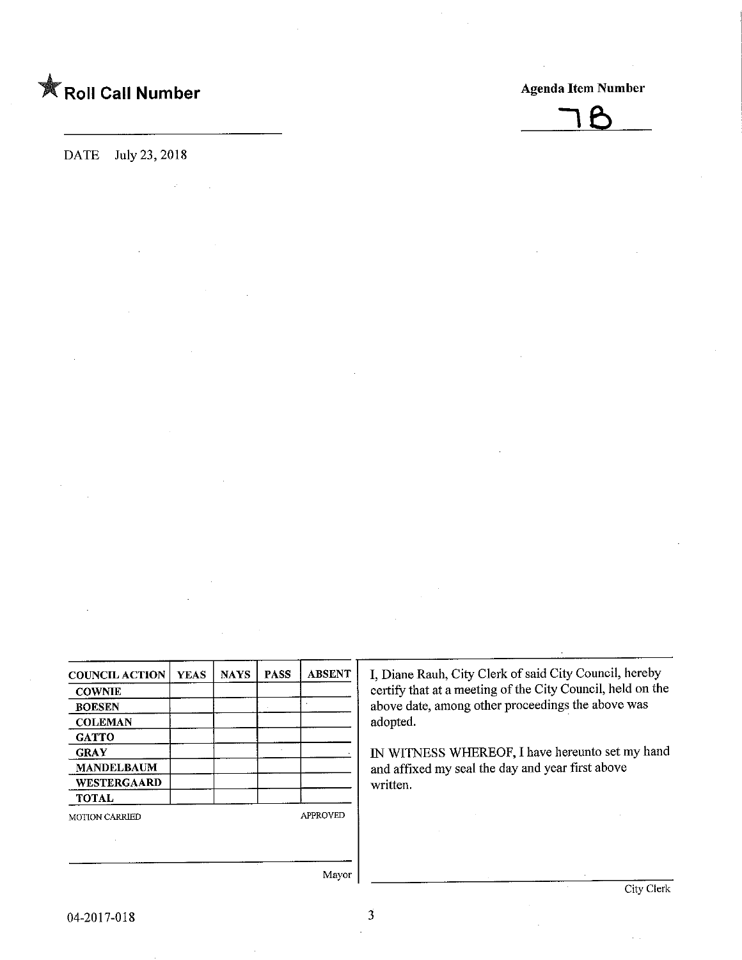

DATE July 23, 2018



| <b>COUNCIL ACTION</b> | <b>YEAS</b> | <b>NAYS</b> | <b>PASS</b> | <b>ABSENT</b>   |
|-----------------------|-------------|-------------|-------------|-----------------|
| <b>COWNIE</b>         |             |             |             |                 |
| <b>BOESEN</b>         |             |             |             |                 |
| <b>COLEMAN</b>        |             |             |             |                 |
| <b>GATTO</b>          |             |             |             |                 |
| <b>GRAY</b>           |             |             |             |                 |
| <b>MANDELBAUM</b>     |             |             |             |                 |
| WESTERGAARD           |             |             |             |                 |
| <b>TOTAL</b>          |             |             |             |                 |
| <b>MOTION CARRIED</b> |             |             |             | <b>APPROVED</b> |
|                       |             |             |             |                 |
|                       |             |             |             |                 |

I, Diane Rauh, City Clerk of said City Council, hereby certify that at a meeting of the City Council, held on the above date, among other proceedings the above was adopted.

IN WITNESS WHEREOF, I have hereunto set my hand and affixed my seal the day and year first above written.

Mayor

 $\overline{3}$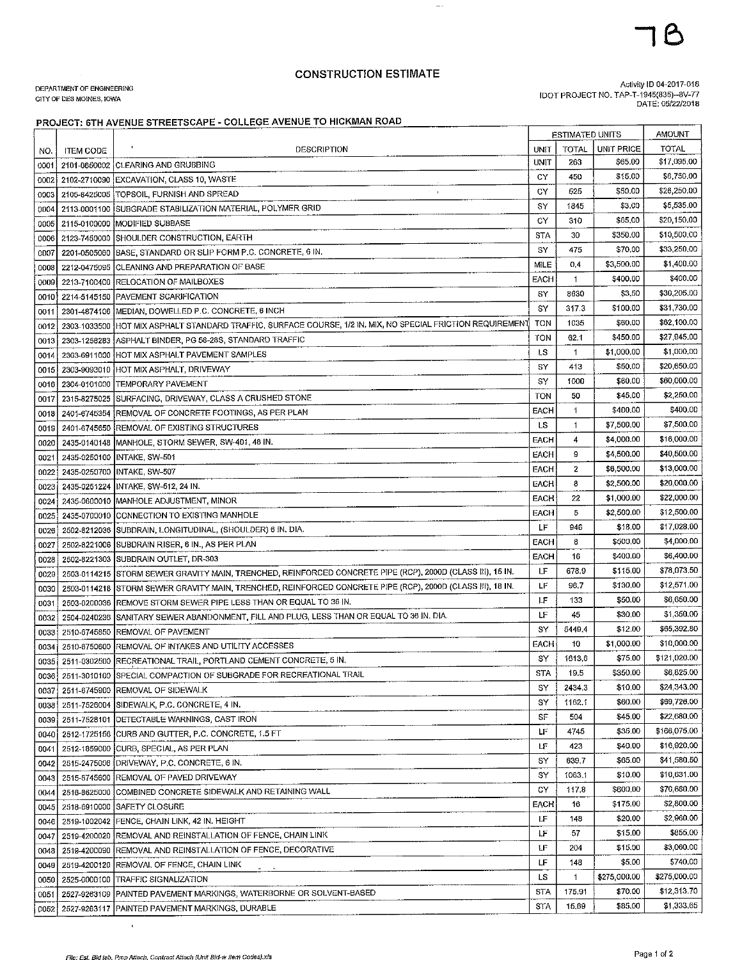### **CONSTRUCTION ESTIMATE**

 $\sim$  .

#### DEPARTMENT OF ENGINEERING CITY OF DES MOINES, IOWA

Activity ID 04-2017-018<br>IDOT PROJECT NO. TAP-T-1945(835)--8V-77<br>DATE: 05/22/2018

#### PROJECT: 6TH AVENUE STREETSCAPE - COLLEGE AVENUE TO HICKMAN ROAD

|      |                  |                                                                                                               |             | <b>ESTIMATED UNITS</b> |                   | AMOUNT       |
|------|------------------|---------------------------------------------------------------------------------------------------------------|-------------|------------------------|-------------------|--------------|
| NO.  | <b>ITEM CODE</b> | DESCRIPTION                                                                                                   | UNIT        | TOTAL                  | <b>UNIT PRICE</b> | <b>TOTAL</b> |
| 0001 |                  | 2101-0850002 CLEARING AND GRUBBING                                                                            | UNIT        | 263                    | \$65,00           | \$17,095.00  |
|      |                  | 0002 2102-2710090 EXCAVATION, CLASS 10, WASTE                                                                 | СY          | 450                    | \$15.00           | \$6,750.00   |
| 0003 |                  | $\tau = \tau_0$<br>2105-8425005 TOPSOIL, FURNISH AND SPREAD                                                   | CY          | 525                    | \$50,00           | \$26,250.00  |
| 0004 |                  | 2113-0001100 SUBGRADE STABILIZATION MATERIAL, POLYMER GRID                                                    | SY          | 1845                   | \$3.00            | \$5,535.00   |
| 0005 |                  | 2115-0100000 MODIFIED SUBBASE                                                                                 | CY          | 310                    | \$65,00           | \$20,150,00  |
| 0006 | 2123-7450000     | SHOULDER CONSTRUCTION, EARTH                                                                                  | <b>STA</b>  | 30                     | \$350.00          | \$10,500,00  |
| 0007 |                  | 2201-0505060 BASE, STANDARD OR SLIP FORM P.C. CONCRETE, 6 IN.                                                 | SY          | 475                    | \$70,00           | \$33,250.00  |
| 0008 | 2212-0475095     | CLEANING AND PREPARATION OF BASE                                                                              | MILE        | 0,4                    | \$3,500.00        | \$1,400.00   |
| 0009 | 2213-7100400     | RELOCATION OF MAILBOXES                                                                                       | EACH        | 1                      | \$400,00          | \$400.00     |
| 0010 | 2214-5145150     | PAVEMENT SCARIFICATION                                                                                        | SY          | 8630                   | \$3.50            | \$30,205.00  |
| 0011 |                  | 2301-4874106   MEDIAN, DOWELLED P.C. CONCRETE, 6 INCH                                                         | SY          | 317.3                  | \$100,00          | \$31,730.00  |
|      |                  | 2303-1033500 HOT MIX ASPHALT STANDARD TRAFFIC, SURFACE COURSE, 1/2 IN. MIX, NO SPECIAL FRICTION REQUIREMENT   | TON         | 1035                   | \$60.00           | \$62,100.00  |
| 0012 |                  | ASPHALT BINDER, PG 58-28S, STANDARD TRAFFIC                                                                   | TON         | 62.1                   | \$450.00          | \$27,945.00  |
| 0013 | 2303-1258283     |                                                                                                               | <b>LS</b>   | 1                      | \$1,000.00        | \$1,000.00   |
| 0014 |                  | 2303-6911000 HOT MIX ASPHALT PAVEMENT SAMPLES                                                                 | SY          | 413                    | \$50.00           | \$20,650.00  |
| 0015 |                  | 2303-9093010 HOT MIX ASPHALT, DRIVEWAY                                                                        | SY          | 1000                   | \$60.00           | \$60,000.00  |
| 0016 |                  | 2304-0101000 TEMPORARY PAVEMENT                                                                               | TON         | 50                     | \$45,00           | \$2,250.00   |
| 0017 |                  | 2315-8275025 SURFACING, DRIVEWAY, CLASS A CRUSHED STONE                                                       | EACH        | 1                      | \$400.00          | \$400.00     |
| 0018 |                  | 2401-6745354 REMOVAL OF CONCRETE FOOTINGS, AS PER PLAN                                                        |             |                        |                   | \$7,500.00   |
| 0019 | 2401-6745650     | REMOVAL OF EXISTING STRUCTURES                                                                                | <b>LS</b>   | 1                      | \$7,500,00        |              |
| 0020 | 2435-0140148     | MANHOLE, STORM SEWER, SW-401, 48 IN.                                                                          | EACH        | 4                      | \$4,000.00        | \$16,000.00  |
| 0021 |                  | 2435-0250100 INTAKE, SW-501                                                                                   | EACH        | 9                      | \$4,500,00        | \$40,500.00  |
| 0022 |                  | 2435-0250700 INTAKE, SW-507                                                                                   | EACH        | 2                      | \$6,500.00        | \$13,000.00  |
| 0023 |                  | 2435-0251224 INTAKE, SW-512, 24 IN.                                                                           | <b>EACH</b> | 8                      | \$2,500.00        | \$20,000.00  |
| 0024 | 2435-0600010     | MANHOLE ADJUSTMENT, MINOR                                                                                     | EACH        | 22                     | \$1,000.00        | \$22,000.00  |
| 0025 | 2435-0700010     | CONNECTION TO EXISTING MANHOLE                                                                                | EACH        | 5                      | \$2,500.00        | \$12,500.00  |
| 0026 | 2502-8212036     | SUBDRAIN, LONGITUDINAL, (SHOULDER) 6 IN. DIA.                                                                 | LF          | 946                    | \$18,00           | \$17,028.00  |
| 0027 | 2502-8221006     | SUBDRAIN RISER, 6 IN., AS PER PLAN                                                                            | EACH        | 8                      | \$500.00          | \$4,000.00   |
| 0028 | 2502-8221303     | SUBDRAIN OUTLET, DR-303                                                                                       | EACH        | 16                     | \$400,00          | \$6,400.00   |
| 0029 | 2503-0114215     | STORM SEWER GRAVITY MAIN, TRENCHED, REINFORCED CONCRETE PIPE (RCP), 2000D (CLASS (II), 15 IN.                 | LF          | 678.9                  | \$115.00          | \$78,073.50  |
| 0030 | 2503-0114218     | STORM SEWER GRAVITY MAIN, TRENCHED, REINFORCED CONCRETE PIPE (RCP), 2000D (CLASS III), 18 IN.                 | LF          | 96.7                   | \$130,00          | \$12,571.00  |
| 0031 | 2503-0200036     | REMOVE STORM SEWER PIPE LESS THAN OR EQUAL TO 36 IN.                                                          | LF          | 133                    | \$50.00           | \$6,650.00   |
| 0032 | 2504-0240236     | SANITARY SEWER ABANDONMENT, FILL AND PLUG, LESS THAN OR EQUAL TO 36 IN. DIA.                                  | LF          | 45                     | \$30,00           | \$1,350.00   |
| 0033 | 2510-6745850     | <b>REMOVAL OF PAVEMENT</b>                                                                                    | SY          | 5449.4                 | \$12.00           | \$65,392.80  |
| 0034 | 2510-6750600     | REMOVAL OF INTAKES AND UTILITY ACCESSES                                                                       | EACH        | 10                     | \$1,000.00        | \$10,000.00  |
| 0035 |                  | 2511-0302500 RECREATIONAL TRAIL, PORTLAND CEMENT CONCRETE, 5 IN.                                              | SY          | 1613.6                 | \$75,00           | \$121,020.00 |
|      |                  | 0036 2511-3010100 SPECIAL COMPACTION OF SUBGRADE FOR RECREATIONAL TRAIL                                       | STA         | 19.5                   | \$350.00          | \$6,825.00   |
|      |                  | 0037 2511-6745900 REMOVAL OF SIDEWALK                                                                         | SY          | 2434.3                 | \$10,00           | \$24,343.00  |
|      |                  | 0038 2511-7526004 SIDEWALK, P.C. CONCRETE, 4 IN.                                                              | SY          | 1162.1                 | \$60.00           | \$69,726.00  |
|      |                  | 0039   2511-7528101   DETECTABLE WARNINGS, CAST IRON                                                          | SF          | 504                    | \$45.00           | \$22,680.00  |
|      |                  | 0040   2512-1725156 CURB AND GUTTER, P.C. CONCRETE, 1.5 FT                                                    | LF          | 4745                   | \$35,00           | \$166,075.00 |
| 0041 |                  | 2512-1859000 CURB, SPECIAL, AS PER PLAN                                                                       | LF          | 423                    | \$40.00           | \$16,920.00  |
| 0042 |                  | 2515-2475006 (DRIVEWAY, P.C. CONCRETE, 6 IN.                                                                  | SY          | 639.7                  | \$65.00           | \$41,580.50  |
| 0043 |                  | 2515-6745600 REMOVAL OF PAVED DRIVEWAY                                                                        | SY          | 1063.1                 | \$10.00           | \$10,631.00  |
| 0044 |                  | 2516-8625000 COMBINED CONCRETE SIDEWALK AND RETAINING WALL                                                    | CΥ          | 117.8                  | \$600.00          | \$70,680.00  |
| 0045 |                  | 2518-6910000 SAFETY CLOSURE                                                                                   | EACH        | 16                     | \$175.00          | \$2,800.00   |
| 0046 |                  | 2519-1002042 FENCE, CHAIN LINK, 42 IN. HEIGHT                                                                 | LF          | 148                    | \$20.00           | \$2,960.00   |
|      |                  | 2519-4200020 REMOVAL AND REINSTALLATION OF FENCE, CHAIN LINK                                                  | LF          | 57                     | \$15,00           | \$855.00     |
| 0047 |                  | 2519-4200090 REMOVAL AND REINSTALLATION OF FENCE, DECORATIVE                                                  | LF          | 204                    | \$15.00           | \$3,060.00   |
| 0048 |                  |                                                                                                               | LF          | 148                    | \$5,00            | \$740.00     |
| 0049 |                  | 2519-4200120 REMOVAL OF FENCE, CHAIN LINK                                                                     | <b>LS</b>   | 1                      | \$275,000.00      | \$275,000.00 |
| 0050 |                  | 2525-0000100 TRAFFIC SIGNALIZATION<br>  2527-9263109   PAINTED PAVEMENT MARKINGS, WATERBORNE OR SOLVENT-BASED | STA         | 175.91                 | \$70.00           | \$12,313.70  |
| 0051 |                  | 0052 2527-9263117 PAINTED PAVEMENT MARKINGS, DURABLE                                                          | <b>STA</b>  | 15,69                  | \$85,00           | \$1,333.65   |
|      |                  |                                                                                                               |             |                        |                   |              |

 $\hat{\mathbf{r}}$